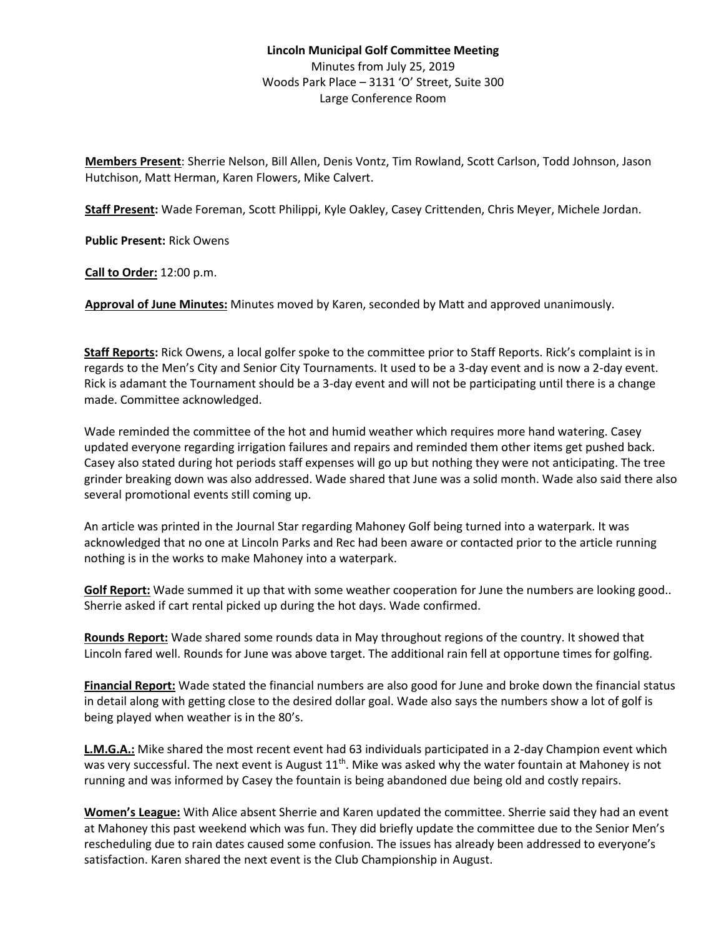## **Lincoln Municipal Golf Committee Meeting** Minutes from July 25, 2019 Woods Park Place – 3131 'O' Street, Suite 300 Large Conference Room

**Members Present**: Sherrie Nelson, Bill Allen, Denis Vontz, Tim Rowland, Scott Carlson, Todd Johnson, Jason Hutchison, Matt Herman, Karen Flowers, Mike Calvert.

**Staff Present:** Wade Foreman, Scott Philippi, Kyle Oakley, Casey Crittenden, Chris Meyer, Michele Jordan.

**Public Present:** Rick Owens

**Call to Order:** 12:00 p.m.

**Approval of June Minutes:** Minutes moved by Karen, seconded by Matt and approved unanimously.

**Staff Reports:** Rick Owens, a local golfer spoke to the committee prior to Staff Reports. Rick's complaint is in regards to the Men's City and Senior City Tournaments. It used to be a 3-day event and is now a 2-day event. Rick is adamant the Tournament should be a 3-day event and will not be participating until there is a change made. Committee acknowledged.

Wade reminded the committee of the hot and humid weather which requires more hand watering. Casey updated everyone regarding irrigation failures and repairs and reminded them other items get pushed back. Casey also stated during hot periods staff expenses will go up but nothing they were not anticipating. The tree grinder breaking down was also addressed. Wade shared that June was a solid month. Wade also said there also several promotional events still coming up.

An article was printed in the Journal Star regarding Mahoney Golf being turned into a waterpark. It was acknowledged that no one at Lincoln Parks and Rec had been aware or contacted prior to the article running nothing is in the works to make Mahoney into a waterpark.

**Golf Report:** Wade summed it up that with some weather cooperation for June the numbers are looking good.. Sherrie asked if cart rental picked up during the hot days. Wade confirmed.

**Rounds Report:** Wade shared some rounds data in May throughout regions of the country. It showed that Lincoln fared well. Rounds for June was above target. The additional rain fell at opportune times for golfing.

**Financial Report:** Wade stated the financial numbers are also good for June and broke down the financial status in detail along with getting close to the desired dollar goal. Wade also says the numbers show a lot of golf is being played when weather is in the 80's.

**L.M.G.A.:** Mike shared the most recent event had 63 individuals participated in a 2-day Champion event which was very successful. The next event is August  $11^{th}$ . Mike was asked why the water fountain at Mahoney is not running and was informed by Casey the fountain is being abandoned due being old and costly repairs.

**Women's League:** With Alice absent Sherrie and Karen updated the committee. Sherrie said they had an event at Mahoney this past weekend which was fun. They did briefly update the committee due to the Senior Men's rescheduling due to rain dates caused some confusion. The issues has already been addressed to everyone's satisfaction. Karen shared the next event is the Club Championship in August.